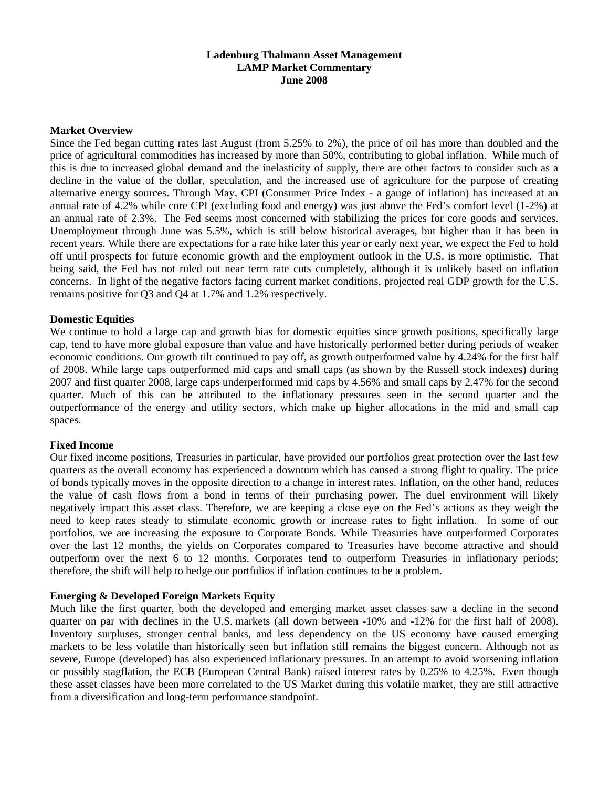## **Ladenburg Thalmann Asset Management LAMP Market Commentary June 2008**

#### **Market Overview**

Since the Fed began cutting rates last August (from 5.25% to 2%), the price of oil has more than doubled and the price of agricultural commodities has increased by more than 50%, contributing to global inflation. While much of this is due to increased global demand and the inelasticity of supply, there are other factors to consider such as a decline in the value of the dollar, speculation, and the increased use of agriculture for the purpose of creating alternative energy sources. Through May, CPI (Consumer Price Index - a gauge of inflation) has increased at an annual rate of 4.2% while core CPI (excluding food and energy) was just above the Fed's comfort level (1-2%) at an annual rate of 2.3%. The Fed seems most concerned with stabilizing the prices for core goods and services. Unemployment through June was 5.5%, which is still below historical averages, but higher than it has been in recent years. While there are expectations for a rate hike later this year or early next year, we expect the Fed to hold off until prospects for future economic growth and the employment outlook in the U.S. is more optimistic. That being said, the Fed has not ruled out near term rate cuts completely, although it is unlikely based on inflation concerns. In light of the negative factors facing current market conditions, projected real GDP growth for the U.S. remains positive for Q3 and Q4 at 1.7% and 1.2% respectively.

# **Domestic Equities**

We continue to hold a large cap and growth bias for domestic equities since growth positions, specifically large cap, tend to have more global exposure than value and have historically performed better during periods of weaker economic conditions. Our growth tilt continued to pay off, as growth outperformed value by 4.24% for the first half of 2008. While large caps outperformed mid caps and small caps (as shown by the Russell stock indexes) during 2007 and first quarter 2008, large caps underperformed mid caps by 4.56% and small caps by 2.47% for the second quarter. Much of this can be attributed to the inflationary pressures seen in the second quarter and the outperformance of the energy and utility sectors, which make up higher allocations in the mid and small cap spaces.

### **Fixed Income**

Our fixed income positions, Treasuries in particular, have provided our portfolios great protection over the last few quarters as the overall economy has experienced a downturn which has caused a strong flight to quality. The price of bonds typically moves in the opposite direction to a change in interest rates. Inflation, on the other hand, reduces the value of cash flows from a bond in terms of their purchasing power. The duel environment will likely negatively impact this asset class. Therefore, we are keeping a close eye on the Fed's actions as they weigh the need to keep rates steady to stimulate economic growth or increase rates to fight inflation. In some of our portfolios, we are increasing the exposure to Corporate Bonds. While Treasuries have outperformed Corporates over the last 12 months, the yields on Corporates compared to Treasuries have become attractive and should outperform over the next 6 to 12 months. Corporates tend to outperform Treasuries in inflationary periods; therefore, the shift will help to hedge our portfolios if inflation continues to be a problem.

### **Emerging & Developed Foreign Markets Equity**

Much like the first quarter, both the developed and emerging market asset classes saw a decline in the second quarter on par with declines in the U.S. markets (all down between -10% and -12% for the first half of 2008). Inventory surpluses, stronger central banks, and less dependency on the US economy have caused emerging markets to be less volatile than historically seen but inflation still remains the biggest concern. Although not as severe, Europe (developed) has also experienced inflationary pressures. In an attempt to avoid worsening inflation or possibly stagflation, the ECB (European Central Bank) raised interest rates by 0.25% to 4.25%. Even though these asset classes have been more correlated to the US Market during this volatile market, they are still attractive from a diversification and long-term performance standpoint.